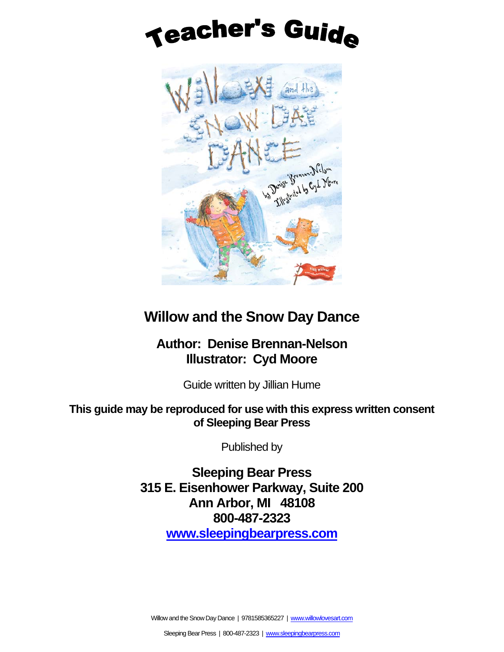# **Teacher's Guide**



# **Willow and the Snow Day Dance**

## **Author: Denise Brennan-Nelson Illustrator: Cyd Moore**

Guide written by Jillian Hume

### **This guide may be reproduced for use with this express written consent of Sleeping Bear Press**

Published by

**Sleeping Bear Press 315 E. Eisenhower Parkway, Suite 200 Ann Arbor, MI 48108 800-487-2323 [www.sleepingbearpress.com](http://www.sleepingbearpress.com/)**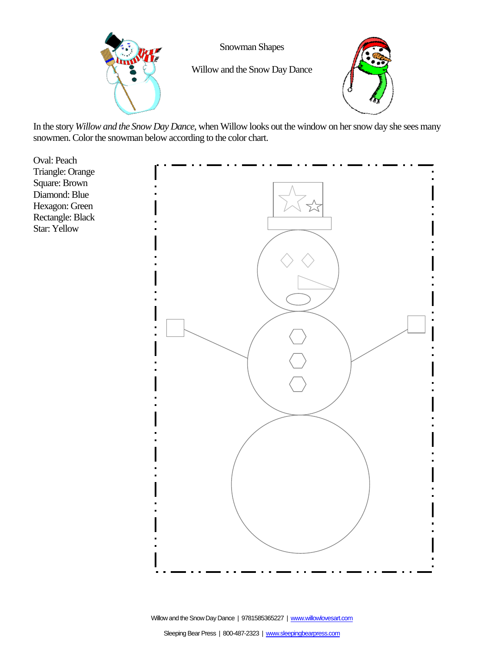

Snowman Shapes

Willow and the Snow Day Dance



In the story *Willow and the Snow Day Dance,* when Willow looks out the window on her snow day she sees many snowmen. Color the snowman below according to the color chart.

Oval: Peach Triangle: Orange Square: Brown Diamond: Blue Hexagon: Green Rectangle: Black Star: Yellow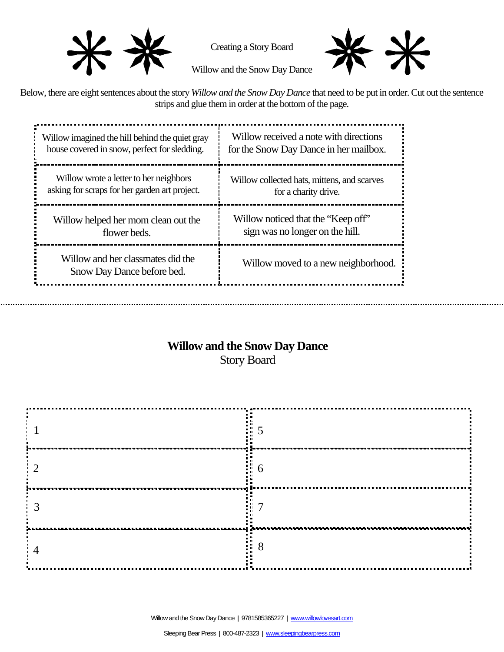

Creating a Story Board



Willow and the Snow Day Dance

Below, there are eight sentences about the story *Willow and the Snow Day Dance* that need to be put in order. Cut out the sentence strips and glue them in order at the bottom of the page.

| Willow imagined the hill behind the quiet gray<br>house covered in snow, perfect for sledding. | Willow received a note with directions<br>for the Snow Day Dance in her mailbox.                             |  |  |
|------------------------------------------------------------------------------------------------|--------------------------------------------------------------------------------------------------------------|--|--|
| Willow wrote a letter to her neighbors<br>asking for scraps for her garden art project.        | Willow collected hats, mittens, and scarves<br>for a charity drive.                                          |  |  |
| Willow helped her mom clean out the<br>flower beds.                                            | Willow noticed that the "Keep off"<br>sign was no longer on the hill.<br>Willow moved to a new neighborhood. |  |  |
| Willow and her classmates did the<br>Snow Day Dance before bed.                                |                                                                                                              |  |  |
|                                                                                                |                                                                                                              |  |  |

# **Willow and the Snow Day Dance**

Story Board

|      | 201111        |
|------|---------------|
|      |               |
|      | ในระบบระบ     |
| ---- | Ω<br>$\Omega$ |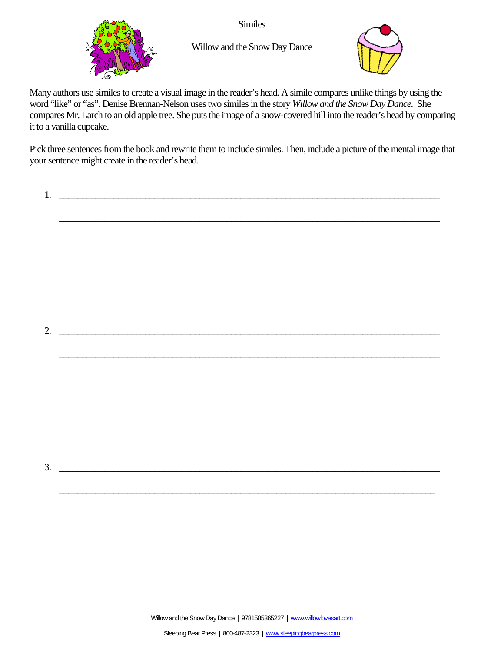

**Similes** 

Willow and the Snow Day Dance



Many authors use similes to create a visual image in the reader's head. A simile compares unlike things by using the word "like" or "as". Denise Brennan-Nelson uses two similes in the story *Willow and the Snow Day Dance.* She compares Mr. Larch to an old apple tree. She puts the image of a snow-covered hill into the reader's head by comparing it to a vanilla cupcake.

Pick three sentences from the book and rewrite them to include similes. Then, include a picture of the mental image that your sentence might create in the reader's head.

\_\_\_\_\_\_\_\_\_\_\_\_\_\_\_\_\_\_\_\_\_\_\_\_\_\_\_\_\_\_\_\_\_\_\_\_\_\_\_\_\_\_\_\_\_\_\_\_\_\_\_\_\_\_\_\_\_\_\_\_\_\_\_\_\_\_\_\_\_\_\_\_\_\_\_\_\_\_\_\_\_\_\_\_

\_\_\_\_\_\_\_\_\_\_\_\_\_\_\_\_\_\_\_\_\_\_\_\_\_\_\_\_\_\_\_\_\_\_\_\_\_\_\_\_\_\_\_\_\_\_\_\_\_\_\_\_\_\_\_\_\_\_\_\_\_\_\_\_\_\_\_\_\_\_\_\_\_\_\_\_\_\_\_\_\_\_\_\_

 $1.$   $\Box$ 

 $3.$ 

2. \_\_\_\_\_\_\_\_\_\_\_\_\_\_\_\_\_\_\_\_\_\_\_\_\_\_\_\_\_\_\_\_\_\_\_\_\_\_\_\_\_\_\_\_\_\_\_\_\_\_\_\_\_\_\_\_\_\_\_\_\_\_\_\_\_\_\_\_\_\_\_\_\_\_\_\_\_\_\_\_\_\_\_\_

Willow and the Snow Day Dance | 9781585365227 | www.willowlovesart.com

\_\_\_\_\_\_\_\_\_\_\_\_\_\_\_\_\_\_\_\_\_\_\_\_\_\_\_\_\_\_\_\_\_\_\_\_\_\_\_\_\_\_\_\_\_\_\_\_\_\_\_\_\_\_\_\_\_\_\_\_\_\_\_\_\_\_\_\_\_\_\_\_\_\_\_\_\_\_\_\_\_\_\_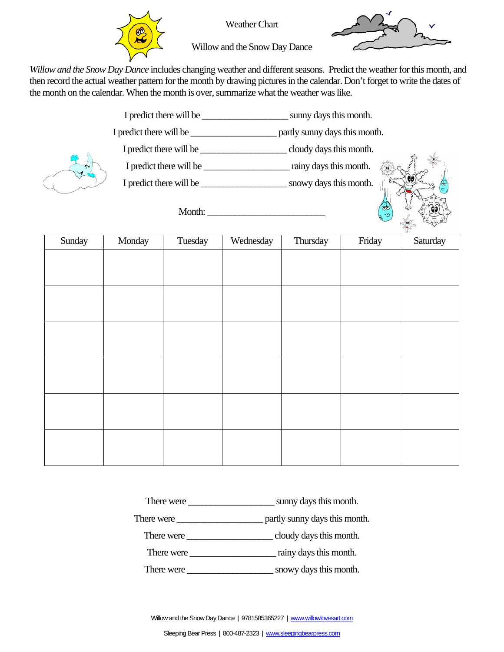

Weather Chart



Willow and the Snow Day Dance

*Willow and the Snow Day Dance* includes changing weather and different seasons. Predict the weather for this month, and then record the actual weather pattern for the month by drawing pictures in the calendar. Don't forget to write the dates of the month on the calendar. When the month is over, summarize what the weather was like.



| Sunday | Monday | Tuesday | Wednesday | Thursday | Friday | Saturday |
|--------|--------|---------|-----------|----------|--------|----------|
|        |        |         |           |          |        |          |
|        |        |         |           |          |        |          |
|        |        |         |           |          |        |          |
|        |        |         |           |          |        |          |
|        |        |         |           |          |        |          |
|        |        |         |           |          |        |          |
|        |        |         |           |          |        |          |
|        |        |         |           |          |        |          |
|        |        |         |           |          |        |          |
|        |        |         |           |          |        |          |
|        |        |         |           |          |        |          |
|        |        |         |           |          |        |          |

There were \_\_\_\_\_\_\_\_\_\_\_\_\_\_\_\_\_\_\_ sunny days this month.

There were \_\_\_\_\_\_\_\_\_\_\_\_\_\_\_\_\_\_\_ partly sunny days this month.

There were <u>executive cloudy</u> days this month.

There were  $\frac{1}{\sqrt{1-\frac{1}{2}}\sqrt{1-\frac{1}{2}}\sin y \, \frac{1}{\sqrt{1-\frac{1}{2}}}}$  rainy days this month.

There were \_\_\_\_\_\_\_\_\_\_\_\_\_\_\_\_\_\_\_ snowy days this month.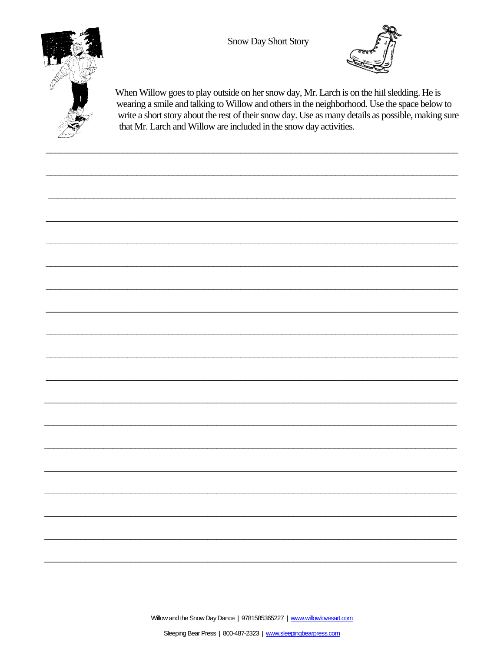Snow Day Short Story



When Willow goes to play outside on her snow day, Mr. Larch is on the hill sledding. He is wearing a smile and talking to Willow and others in the neighborhood. Use the space below to write a short story about the rest of their snow day. Use as many details as possible, making sure that Mr. Larch and Willow are included in the snow day activities.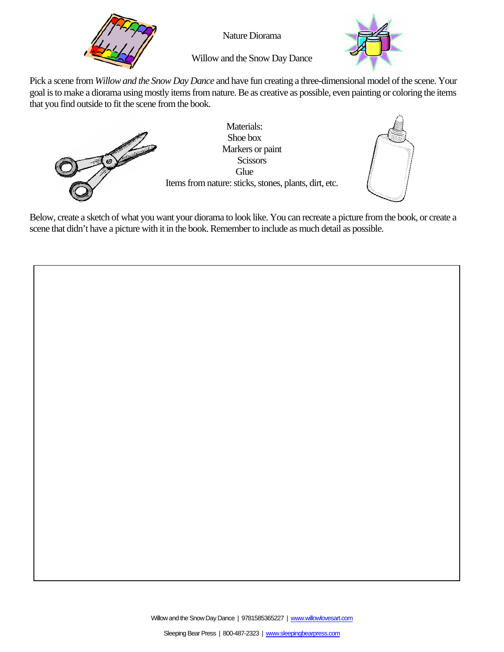

Nature Diorama



Willow and the Snow Day Dance

Pick a scene from *Willow and the Snow Day Dance* and have fun creating a three-dimensional model of the scene. Your goal is to make a diorama using mostly items from nature. Be as creative as possible, even painting or coloring the items that you find outside to fit the scene from the book.



Materials: Shoe box Markers or paint **Scissors Glue** Items from nature: sticks, stones, plants, dirt, etc.



Below, create a sketch of what you want your diorama to look like. You can recreate a picture from the book, or create a scene that didn't have a picture with it in the book. Remember to include as much detail as possible.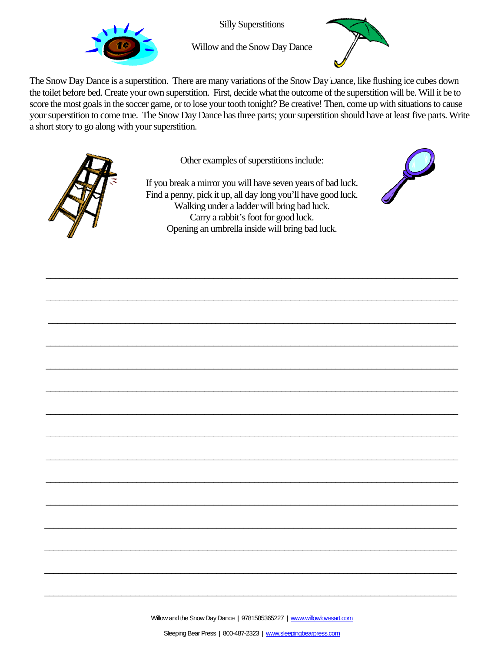

Silly Superstitions



Willow and the Snow Day Dance

The Snow Day Dance is a superstition. There are many variations of the Snow Day Dance, like flushing ice cubes down the toilet before bed. Create your own superstition. First, decide what the outcome of the superstition will be. Will it be to score the most goals in the soccer game, or to lose your tooth tonight? Be creative! Then, come up with situations to cause your superstition to come true. The Snow Day Dance has three parts; your superstition should have at least five parts. Write a short story to go along with your superstition.



Other examples of superstitions include:

If you break a mirror you will have seven years of bad luck. Find a penny, pick it up, all day long you'll have good luck. Walking under a ladder will bring bad luck. Carry a rabbit's foot for good luck. Opening an umbrella inside will bring bad luck.

\_\_\_\_\_\_\_\_\_\_\_\_\_\_\_\_\_\_\_\_\_\_\_\_\_\_\_\_\_\_\_\_\_\_\_\_\_\_\_\_\_\_\_\_\_\_\_\_\_\_\_\_\_\_\_\_\_\_\_\_\_\_\_\_\_\_\_\_\_\_\_\_\_\_\_\_\_\_\_\_\_\_\_\_\_\_\_\_\_\_\_

\_\_\_\_\_\_\_\_\_\_\_\_\_\_\_\_\_\_\_\_\_\_\_\_\_\_\_\_\_\_\_\_\_\_\_\_\_\_\_\_\_\_\_\_\_\_\_\_\_\_\_\_\_\_\_\_\_\_\_\_\_\_\_\_\_\_\_\_\_\_\_\_\_\_\_\_\_\_\_\_\_\_\_\_\_\_\_\_\_\_\_

\_\_\_\_\_\_\_\_\_\_\_\_\_\_\_\_\_\_\_\_\_\_\_\_\_\_\_\_\_\_\_\_\_\_\_\_\_\_\_\_\_\_\_\_\_\_\_\_\_\_\_\_\_\_\_\_\_\_\_\_\_\_\_\_\_\_\_\_\_\_\_\_\_\_\_\_\_\_\_\_\_\_\_\_\_\_\_\_\_\_

\_\_\_\_\_\_\_\_\_\_\_\_\_\_\_\_\_\_\_\_\_\_\_\_\_\_\_\_\_\_\_\_\_\_\_\_\_\_\_\_\_\_\_\_\_\_\_\_\_\_\_\_\_\_\_\_\_\_\_\_\_\_\_\_\_\_\_\_\_\_\_\_\_\_\_\_\_\_\_\_\_\_\_\_\_\_\_\_\_\_\_

\_\_\_\_\_\_\_\_\_\_\_\_\_\_\_\_\_\_\_\_\_\_\_\_\_\_\_\_\_\_\_\_\_\_\_\_\_\_\_\_\_\_\_\_\_\_\_\_\_\_\_\_\_\_\_\_\_\_\_\_\_\_\_\_\_\_\_\_\_\_\_\_\_\_\_\_\_\_\_\_\_\_\_\_\_\_\_\_\_\_\_

\_\_\_\_\_\_\_\_\_\_\_\_\_\_\_\_\_\_\_\_\_\_\_\_\_\_\_\_\_\_\_\_\_\_\_\_\_\_\_\_\_\_\_\_\_\_\_\_\_\_\_\_\_\_\_\_\_\_\_\_\_\_\_\_\_\_\_\_\_\_\_\_\_\_\_\_\_\_\_\_\_\_\_\_\_\_\_\_\_\_\_

\_\_\_\_\_\_\_\_\_\_\_\_\_\_\_\_\_\_\_\_\_\_\_\_\_\_\_\_\_\_\_\_\_\_\_\_\_\_\_\_\_\_\_\_\_\_\_\_\_\_\_\_\_\_\_\_\_\_\_\_\_\_\_\_\_\_\_\_\_\_\_\_\_\_\_\_\_\_\_\_\_\_\_\_\_\_\_\_\_\_\_

\_\_\_\_\_\_\_\_\_\_\_\_\_\_\_\_\_\_\_\_\_\_\_\_\_\_\_\_\_\_\_\_\_\_\_\_\_\_\_\_\_\_\_\_\_\_\_\_\_\_\_\_\_\_\_\_\_\_\_\_\_\_\_\_\_\_\_\_\_\_\_\_\_\_\_\_\_\_\_\_\_\_\_\_\_\_\_\_\_\_\_

\_\_\_\_\_\_\_\_\_\_\_\_\_\_\_\_\_\_\_\_\_\_\_\_\_\_\_\_\_\_\_\_\_\_\_\_\_\_\_\_\_\_\_\_\_\_\_\_\_\_\_\_\_\_\_\_\_\_\_\_\_\_\_\_\_\_\_\_\_\_\_\_\_\_\_\_\_\_\_\_\_\_\_\_\_\_\_\_\_\_\_

\_\_\_\_\_\_\_\_\_\_\_\_\_\_\_\_\_\_\_\_\_\_\_\_\_\_\_\_\_\_\_\_\_\_\_\_\_\_\_\_\_\_\_\_\_\_\_\_\_\_\_\_\_\_\_\_\_\_\_\_\_\_\_\_\_\_\_\_\_\_\_\_\_\_\_\_\_\_\_\_\_\_\_\_\_\_\_\_\_\_\_

\_\_\_\_\_\_\_\_\_\_\_\_\_\_\_\_\_\_\_\_\_\_\_\_\_\_\_\_\_\_\_\_\_\_\_\_\_\_\_\_\_\_\_\_\_\_\_\_\_\_\_\_\_\_\_\_\_\_\_\_\_\_\_\_\_\_\_\_\_\_\_\_\_\_\_\_\_\_\_\_\_\_\_\_\_\_\_\_\_\_\_

\_\_\_\_\_\_\_\_\_\_\_\_\_\_\_\_\_\_\_\_\_\_\_\_\_\_\_\_\_\_\_\_\_\_\_\_\_\_\_\_\_\_\_\_\_\_\_\_\_\_\_\_\_\_\_\_\_\_\_\_\_\_\_\_\_\_\_\_\_\_\_\_\_\_\_\_\_\_\_\_\_\_\_\_\_\_\_\_\_\_\_

\_\_\_\_\_\_\_\_\_\_\_\_\_\_\_\_\_\_\_\_\_\_\_\_\_\_\_\_\_\_\_\_\_\_\_\_\_\_\_\_\_\_\_\_\_\_\_\_\_\_\_\_\_\_\_\_\_\_\_\_\_\_\_\_\_\_\_\_\_\_\_\_\_\_\_\_\_\_\_\_\_\_\_\_\_\_\_\_\_\_\_

\_\_\_\_\_\_\_\_\_\_\_\_\_\_\_\_\_\_\_\_\_\_\_\_\_\_\_\_\_\_\_\_\_\_\_\_\_\_\_\_\_\_\_\_\_\_\_\_\_\_\_\_\_\_\_\_\_\_\_\_\_\_\_\_\_\_\_\_\_\_\_\_\_\_\_\_\_\_\_\_\_\_\_\_\_\_\_\_\_\_\_

\_\_\_\_\_\_\_\_\_\_\_\_\_\_\_\_\_\_\_\_\_\_\_\_\_\_\_\_\_\_\_\_\_\_\_\_\_\_\_\_\_\_\_\_\_\_\_\_\_\_\_\_\_\_\_\_\_\_\_\_\_\_\_\_\_\_\_\_\_\_\_\_\_\_\_\_\_\_\_\_\_\_\_\_\_\_\_\_\_\_\_

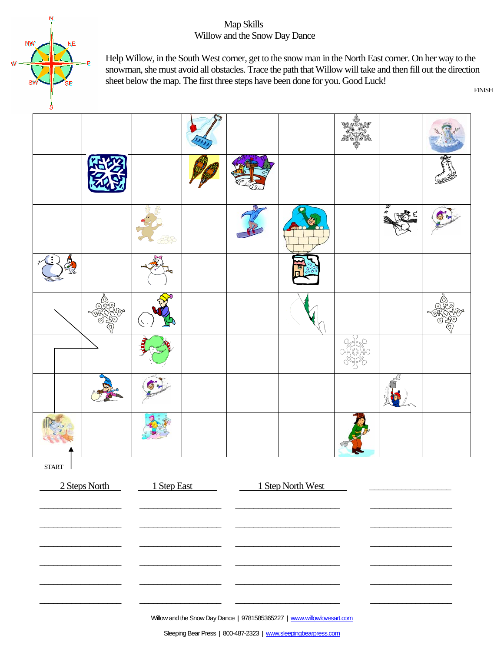#### Map Skills Willow and the Snow Day Dance



Help Willow, in the South West corner, get to the snow man in the North East corner. On her way to the snowman, she must avoid all obstacles. Trace the path that Willow will take and then fill out the direction sheet below the map. The first three steps have been done for you. Good Luck!



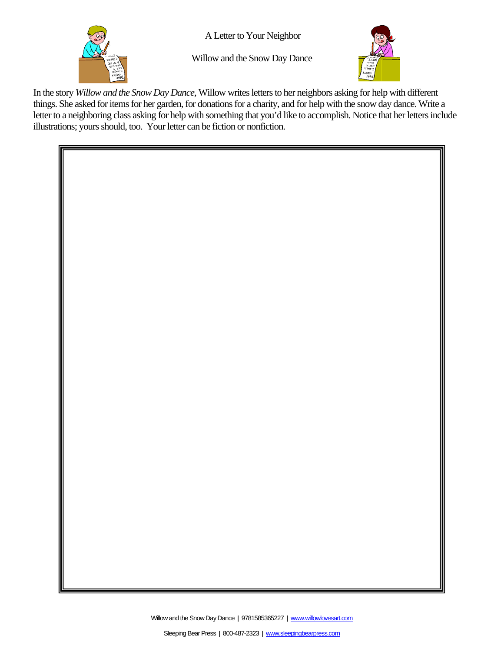

A Letter to Your Neighbor

Willow and the Snow Day Dance



In the story *Willow and the Snow Day Dance,* Willow writes letters to her neighbors asking for help with different things. She asked for items for her garden, for donations for a charity, and for help with the snow day dance. Write a letter to a neighboring class asking for help with something that you'd like to accomplish. Notice that her letters include illustrations; yours should, too. Your letter can be fiction or nonfiction.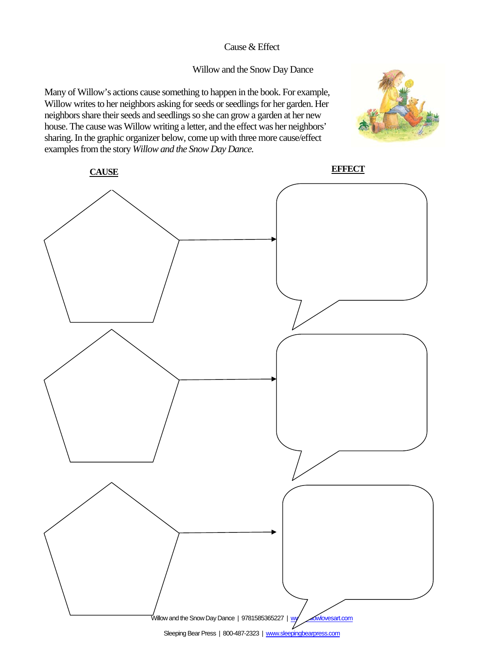#### Cause & Effect

#### Willow and the Snow Day Dance

Many of Willow's actions cause something to happen in the book. For example, Willow writes to her neighbors asking for seeds or seedlings for her garden. Her neighbors share their seeds and seedlings so she can grow a garden at her new house. The cause was Willow writing a letter, and the effect was her neighbors' sharing. In the graphic organizer below, come up with three more cause/effect examples from the story *Willow and the Snow Day Dance.*



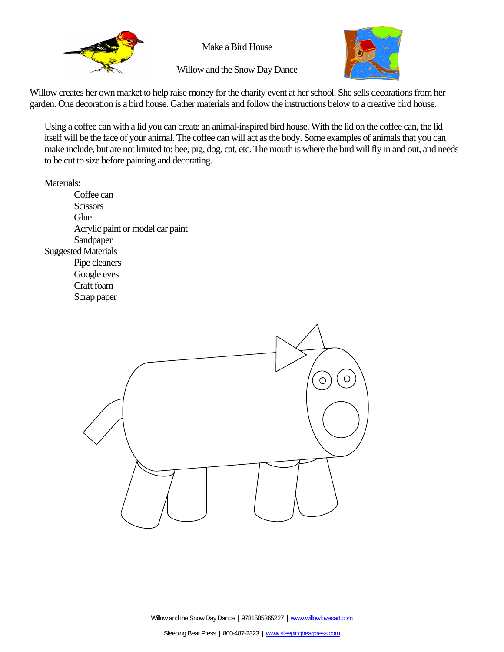

Make a Bird House



Willow and the Snow Day Dance

Willow creates her own market to help raise money for the charity event at her school. She sells decorations from her garden. One decoration is a bird house. Gather materials and follow the instructions below to a creative bird house.

Using a coffee can with a lid you can create an animal-inspired bird house. With the lid on the coffee can, the lid itself will be the face of your animal. The coffee can will act as the body. Some examples of animals that you can make include, but are not limited to: bee, pig, dog, cat, etc. The mouth is where the bird will fly in and out, and needs to be cut to size before painting and decorating.

Materials:

 Coffee can **Scissors Glue**  Acrylic paint or model car paint Sandpaper Suggested Materials Pipe cleaners Google eyes Craft foam Scrap paper

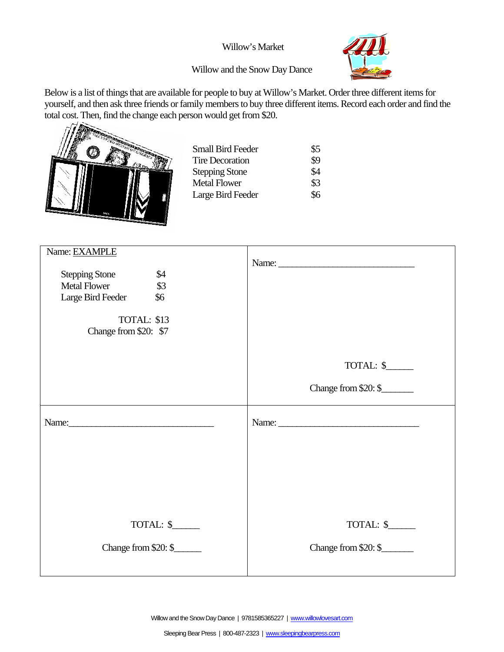#### Willow's Market



#### Willow and the Snow Day Dance

Below is a list of things that are available for people to buy at Willow's Market. Order three different items for yourself, and then ask three friends or family members to buy three different items. Record each order and find the total cost. Then, find the change each person would get from \$20.

| <b>Small Bird Feeder</b><br><b>Tire Decoration</b><br><b>Stepping Stone</b> | \$5<br>\$9<br>\$4 |
|-----------------------------------------------------------------------------|-------------------|
| <b>Metal Flower</b><br>Large Bird Feeder                                    | \$3<br>\$6        |

| Name: EXAMPLE<br><b>Stepping Stone</b><br>\$4<br>$\frac{1}{3}$<br><b>Metal Flower</b><br>Large Bird Feeder<br>\$6 | Name:                |
|-------------------------------------------------------------------------------------------------------------------|----------------------|
| TOTAL: \$13<br>Change from \$20: \$7                                                                              |                      |
|                                                                                                                   | TOTAL: \$            |
|                                                                                                                   | Change from \$20: \$ |
| Name: Name:                                                                                                       |                      |
|                                                                                                                   |                      |
|                                                                                                                   |                      |
| TOTAL: \$                                                                                                         | TOTAL: \$            |
| Change from \$20: \$                                                                                              | Change from \$20: \$ |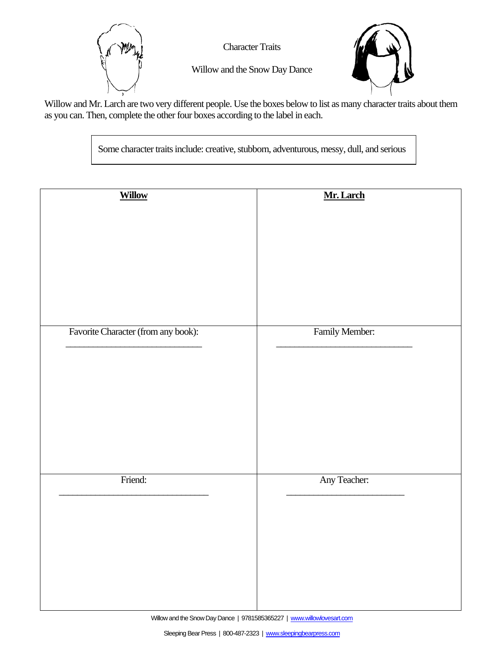

Character Traits



Willow and the Snow Day Dance

Willow and Mr. Larch are two very different people. Use the boxes below to list as many character traits about them as you can. Then, complete the other four boxes according to the label in each.

Some character traits include: creative, stubborn, adventurous, messy, dull, and serious

| <b>Willow</b>                       | Mr. Larch      |
|-------------------------------------|----------------|
|                                     |                |
|                                     |                |
|                                     |                |
|                                     |                |
|                                     |                |
|                                     |                |
|                                     |                |
|                                     |                |
|                                     |                |
|                                     |                |
|                                     |                |
|                                     |                |
|                                     |                |
|                                     |                |
|                                     |                |
|                                     |                |
|                                     |                |
|                                     |                |
|                                     |                |
| Favorite Character (from any book): | Family Member: |
|                                     |                |
|                                     |                |
|                                     |                |
|                                     |                |
|                                     |                |
|                                     |                |
|                                     |                |
|                                     |                |
|                                     |                |
|                                     |                |
|                                     |                |
|                                     |                |
|                                     |                |
|                                     |                |
|                                     |                |
|                                     |                |
|                                     |                |
|                                     |                |
|                                     |                |
|                                     |                |
| Friend:                             | Any Teacher:   |
|                                     |                |
|                                     |                |
|                                     |                |
|                                     |                |
|                                     |                |
|                                     |                |
|                                     |                |
|                                     |                |
|                                     |                |
|                                     |                |
|                                     |                |
|                                     |                |
|                                     |                |
|                                     |                |
|                                     |                |
|                                     |                |
|                                     |                |
|                                     |                |
|                                     |                |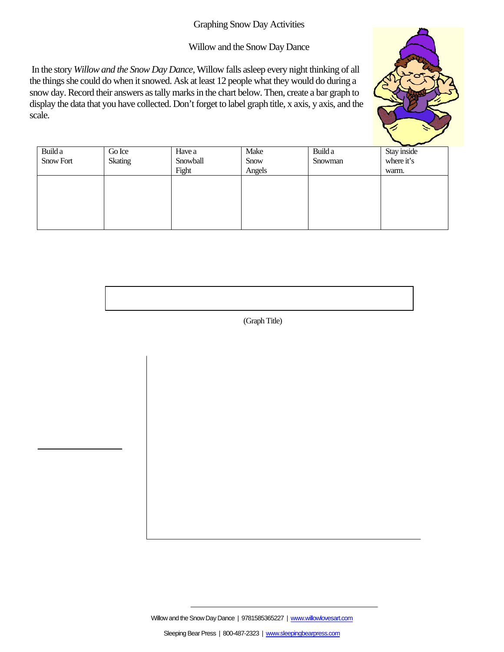#### Graphing Snow Day Activities

#### Willow and the Snow Day Dance

 In the story *Willow and the Snow Day Dance,* Willow falls asleep every night thinking of all the things she could do when it snowed. Ask at least 12 people what they would do during a snow day. Record their answers as tally marks in the chart below. Then, create a bar graph to display the data that you have collected. Don't forget to label graph title, x axis, y axis, and the scale.



|           |         |          |        |         | $\tilde{}$  |
|-----------|---------|----------|--------|---------|-------------|
| Build a   | Go Ice  | Have a   | Make   | Build a | Stay inside |
| Snow Fort | Skating | Snowball | Snow   | Snowman | where it's  |
|           |         | Fight    | Angels |         | warm.       |
|           |         |          |        |         |             |
|           |         |          |        |         |             |
|           |         |          |        |         |             |
|           |         |          |        |         |             |
|           |         |          |        |         |             |
|           |         |          |        |         |             |

(Graph Title)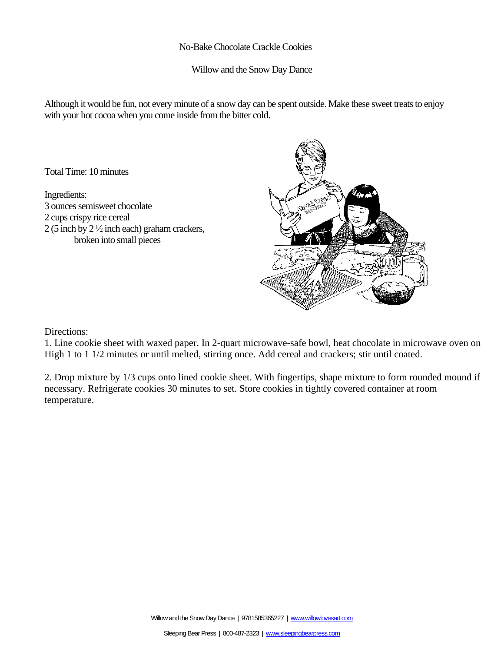#### No-Bake Chocolate Crackle Cookies

Willow and the Snow Day Dance

Although it would be fun, not every minute of a snow day can be spent outside. Make these sweet treats to enjoy with your hot cocoa when you come inside from the bitter cold.

Total Time: 10 minutes

Ingredients: 3 ounces semisweet chocolate 2 cups crispy rice cereal 2 (5 inch by 2 ½ inch each) graham crackers, broken into small pieces



Directions:

1. Line cookie sheet with waxed paper. In 2-quart microwave-safe bowl, heat chocolate in microwave oven on High 1 to 1 1/2 minutes or until melted, stirring once. Add cereal and crackers; stir until coated.

2. Drop mixture by 1/3 cups onto lined cookie sheet. With fingertips, shape mixture to form rounded mound if necessary. Refrigerate cookies 30 minutes to set. Store cookies in tightly covered container at room temperature.